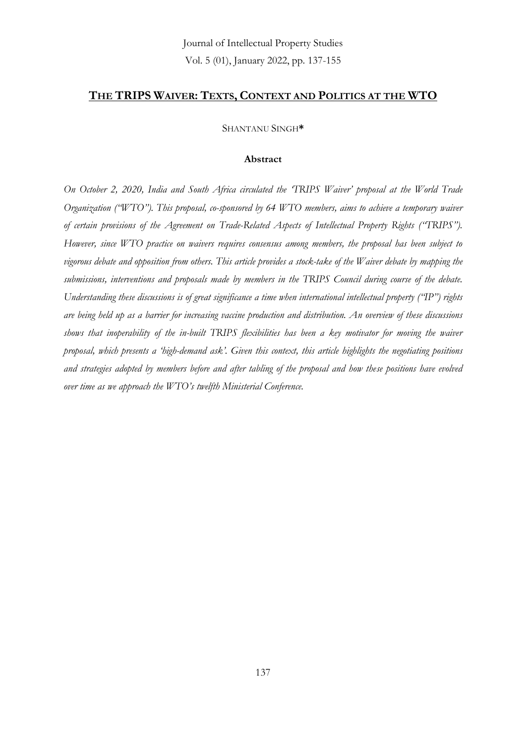#### **THE TRIPS WAIVER: TEXTS, CONTEXT AND POLITICS AT THE WTO**

SHANTANU SINGH**\***

#### **Abstract**

*On October 2, 2020, India and South Africa circulated the 'TRIPS Waiver' proposal at the World Trade Organization ("WTO"). This proposal, co-sponsored by 64 WTO members, aims to achieve a temporary waiver of certain provisions of the Agreement on Trade-Related Aspects of Intellectual Property Rights ("TRIPS"). However, since WTO practice on waivers requires consensus among members, the proposal has been subject to vigorous debate and opposition from others. This article provides a stock-take of the Waiver debate by mapping the submissions, interventions and proposals made by members in the TRIPS Council during course of the debate. Understanding these discussions is of great significance a time when international intellectual property ("IP") rights are being held up as a barrier for increasing vaccine production and distribution. An overview of these discussions shows that inoperability of the in-built TRIPS flexibilities has been a key motivator for moving the waiver proposal, which presents a 'high-demand ask'. Given this context, this article highlights the negotiating positions and strategies adopted by members before and after tabling of the proposal and how these positions have evolved over time as we approach the WTO's twelfth Ministerial Conference.*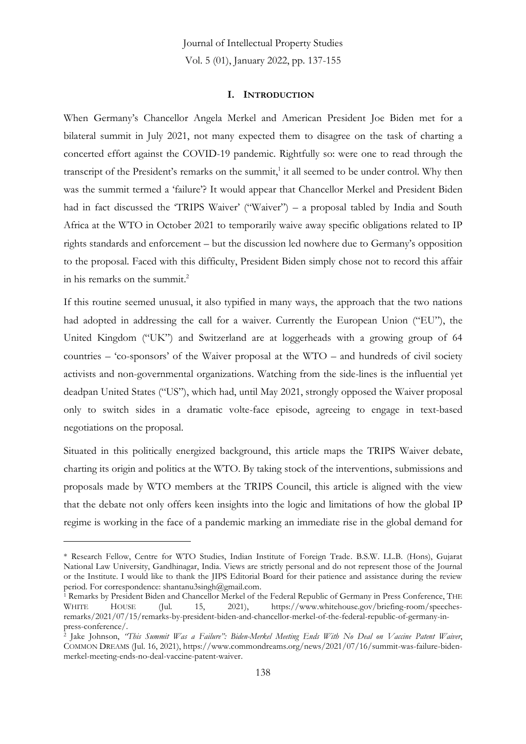#### **I. INTRODUCTION**

When Germany's Chancellor Angela Merkel and American President Joe Biden met for a bilateral summit in July 2021, not many expected them to disagree on the task of charting a concerted effort against the COVID-19 pandemic. Rightfully so: were one to read through the transcript of the President's remarks on the summit, 1 it all seemed to be under control. Why then was the summit termed a 'failure'? It would appear that Chancellor Merkel and President Biden had in fact discussed the 'TRIPS Waiver' ("Waiver") – a proposal tabled by India and South Africa at the WTO in October 2021 to temporarily waive away specific obligations related to IP rights standards and enforcement – but the discussion led nowhere due to Germany's opposition to the proposal. Faced with this difficulty, President Biden simply chose not to record this affair in his remarks on the summit. 2

If this routine seemed unusual, it also typified in many ways, the approach that the two nations had adopted in addressing the call for a waiver. Currently the European Union ("EU"), the United Kingdom ("UK") and Switzerland are at loggerheads with a growing group of 64 countries – 'co-sponsors' of the Waiver proposal at the WTO – and hundreds of civil society activists and non-governmental organizations. Watching from the side-lines is the influential yet deadpan United States ("US"), which had, until May 2021, strongly opposed the Waiver proposal only to switch sides in a dramatic volte-face episode, agreeing to engage in text-based negotiations on the proposal.

Situated in this politically energized background, this article maps the TRIPS Waiver debate, charting its origin and politics at the WTO. By taking stock of the interventions, submissions and proposals made by WTO members at the TRIPS Council, this article is aligned with the view that the debate not only offers keen insights into the logic and limitations of how the global IP regime is working in the face of a pandemic marking an immediate rise in the global demand for

<sup>\*</sup> Research Fellow, Centre for WTO Studies, Indian Institute of Foreign Trade. B.S.W. LL.B. (Hons), Gujarat National Law University, Gandhinagar, India. Views are strictly personal and do not represent those of the Journal or the Institute. I would like to thank the JIPS Editorial Board for their patience and assistance during the review period. For correspondence: shantanu3singh@gmail.com.

<sup>&</sup>lt;sup>1</sup> Remarks by President Biden and Chancellor Merkel of the Federal Republic of Germany in Press Conference, THE WHITE HOUSE (Jul. 15, 2021), https://www.whitehouse.gov/briefing-room/speechesremarks/2021/07/15/remarks-by-president-biden-and-chancellor-merkel-of-the-federal-republic-of-germany-inpress-conference/.

<sup>2</sup> Jake Johnson, *"This Summit Was a Failure": Biden-Merkel Meeting Ends With No Deal on Vaccine Patent Waiver*, COMMON DREAMS (Jul. 16, 2021), https://www.commondreams.org/news/2021/07/16/summit-was-failure-bidenmerkel-meeting-ends-no-deal-vaccine-patent-waiver.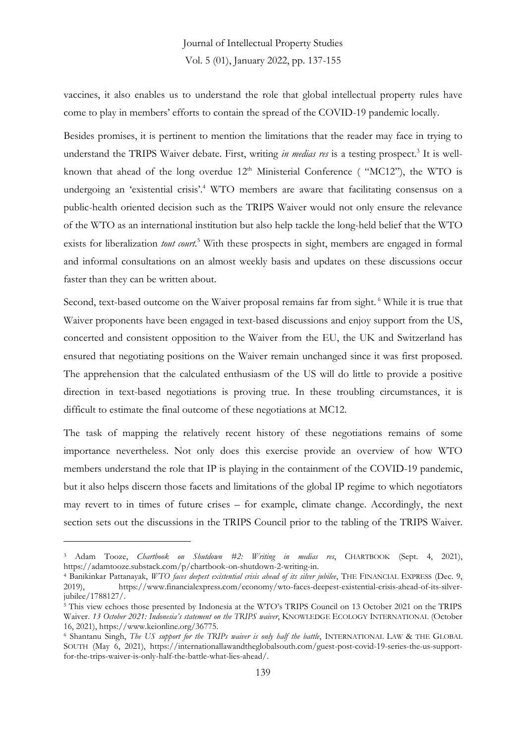vaccines, it also enables us to understand the role that global intellectual property rules have come to play in members' efforts to contain the spread of the COVID-19 pandemic locally.

Besides promises, it is pertinent to mention the limitations that the reader may face in trying to understand the TRIPS Waiver debate. First, writing in medias res is a testing prospect.<sup>3</sup> It is wellknown that ahead of the long overdue  $12<sup>th</sup>$  Ministerial Conference ( "MC12"), the WTO is undergoing an 'existential crisis'.<sup>4</sup> WTO members are aware that facilitating consensus on a public-health oriented decision such as the TRIPS Waiver would not only ensure the relevance of the WTO as an international institution but also help tackle the long-held belief that the WTO exists for liberalization *tout court*. <sup>5</sup> With these prospects in sight, members are engaged in formal and informal consultations on an almost weekly basis and updates on these discussions occur faster than they can be written about.

Second, text-based outcome on the Waiver proposal remains far from sight. <sup>6</sup> While it is true that Waiver proponents have been engaged in text-based discussions and enjoy support from the US, concerted and consistent opposition to the Waiver from the EU, the UK and Switzerland has ensured that negotiating positions on the Waiver remain unchanged since it was first proposed. The apprehension that the calculated enthusiasm of the US will do little to provide a positive direction in text-based negotiations is proving true. In these troubling circumstances, it is difficult to estimate the final outcome of these negotiations at MC12.

The task of mapping the relatively recent history of these negotiations remains of some importance nevertheless. Not only does this exercise provide an overview of how WTO members understand the role that IP is playing in the containment of the COVID-19 pandemic, but it also helps discern those facets and limitations of the global IP regime to which negotiators may revert to in times of future crises – for example, climate change. Accordingly, the next section sets out the discussions in the TRIPS Council prior to the tabling of the TRIPS Waiver.

<sup>3</sup> Adam Tooze, *Chartbook on Shutdown #2: Writing in medias res*, CHARTBOOK (Sept. 4, 2021), https://adamtooze.substack.com/p/chartbook-on-shutdown-2-writing-in.

<sup>4</sup> Banikinkar Pattanayak, *WTO faces deepest existential crisis ahead of its silver jubilee*, THE FINANCIAL EXPRESS (Dec. 9, 2019), https://www.financialexpress.com/economy/wto-faces-deepest-existential-crisis-ahead-of-its-silverjubilee/1788127/.

<sup>&</sup>lt;sup>5</sup> This view echoes those presented by Indonesia at the WTO's TRIPS Council on 13 October 2021 on the TRIPS Waiver. *13 October 2021: Indonesia's statement on the TRIPS waiver*, KNOWLEDGE ECOLOGY INTERNATIONAL (October 16, 2021), https://www.keionline.org/36775.

<sup>6</sup> Shantanu Singh, *The US support for the TRIPs waiver is only half the battle*, INTERNATIONAL LAW & THE GLOBAL SOUTH (May 6, 2021), https://internationallawandtheglobalsouth.com/guest-post-covid-19-series-the-us-supportfor-the-trips-waiver-is-only-half-the-battle-what-lies-ahead/.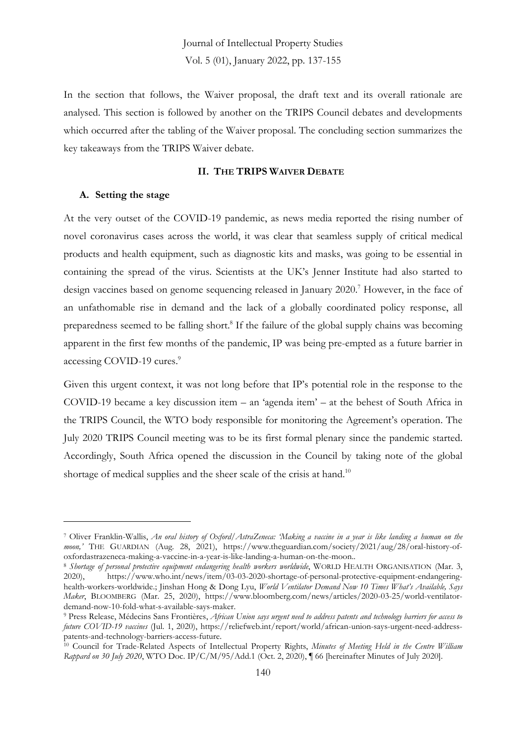In the section that follows, the Waiver proposal, the draft text and its overall rationale are analysed. This section is followed by another on the TRIPS Council debates and developments which occurred after the tabling of the Waiver proposal. The concluding section summarizes the key takeaways from the TRIPS Waiver debate.

#### **II. THE TRIPS WAIVER DEBATE**

#### **A. Setting the stage**

At the very outset of the COVID-19 pandemic, as news media reported the rising number of novel coronavirus cases across the world, it was clear that seamless supply of critical medical products and health equipment, such as diagnostic kits and masks, was going to be essential in containing the spread of the virus. Scientists at the UK's Jenner Institute had also started to design vaccines based on genome sequencing released in January 2020. <sup>7</sup> However, in the face of an unfathomable rise in demand and the lack of a globally coordinated policy response, all preparedness seemed to be falling short. 8 If the failure of the global supply chains was becoming apparent in the first few months of the pandemic, IP was being pre-empted as a future barrier in accessing COVID-19 cures. 9

Given this urgent context, it was not long before that IP's potential role in the response to the COVID-19 became a key discussion item – an 'agenda item' – at the behest of South Africa in the TRIPS Council, the WTO body responsible for monitoring the Agreement's operation. The July 2020 TRIPS Council meeting was to be its first formal plenary since the pandemic started. Accordingly, South Africa opened the discussion in the Council by taking note of the global shortage of medical supplies and the sheer scale of the crisis at hand.<sup>10</sup>

<sup>7</sup> Oliver Franklin-Wallis, *An oral history of Oxford/AstraZeneca: 'Making a vaccine in a year is like landing a human on the moon,'* THE GUARDIAN (Aug. 28, 2021), https://www.theguardian.com/society/2021/aug/28/oral-history-ofoxfordastrazeneca-making-a-vaccine-in-a-year-is-like-landing-a-human-on-the-moon..

<sup>8</sup> *Shortage of personal protective equipment endangering health workers worldwide*, WORLD HEALTH ORGANISATION (Mar. 3, 2020), https://www.who.int/news/item/03-03-2020-shortage-of-personal-protective-equipment-endangeringhealth-workers-worldwide.; Jinshan Hong & Dong Lyu, *World Ventilator Demand Now 10 Times What's Available, Says Maker*, BLOOMBERG (Mar. 25, 2020), https://www.bloomberg.com/news/articles/2020-03-25/world-ventilatordemand-now-10-fold-what-s-available-says-maker.

<sup>9</sup> Press Release, Médecins Sans Frontières, *African Union says urgent need to address patents and technology barriers for access to future COVID-19 vaccines* (Jul. 1, 2020), https://reliefweb.int/report/world/african-union-says-urgent-need-addresspatents-and-technology-barriers-access-future.

<sup>10</sup> Council for Trade-Related Aspects of Intellectual Property Rights, *Minutes of Meeting Held in the Centre William Rappard on 30 July 2020*, WTO Doc. IP/C/M/95/Add.1 (Oct. 2, 2020), ¶ 66 [hereinafter Minutes of July 2020].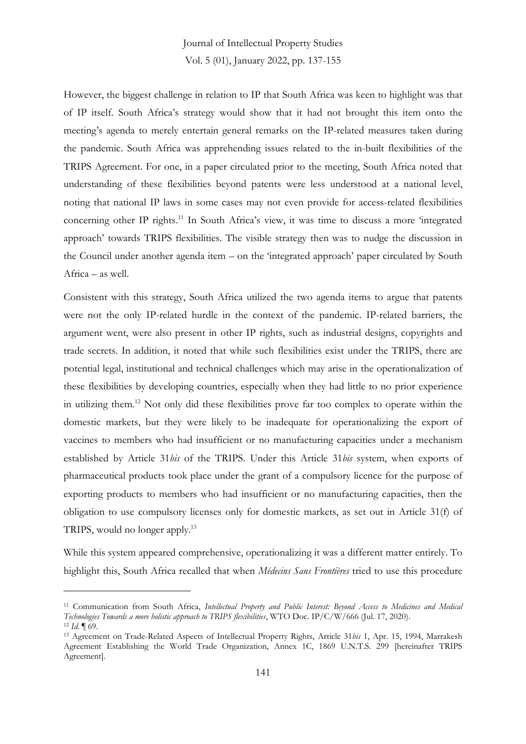However, the biggest challenge in relation to IP that South Africa was keen to highlight was that of IP itself. South Africa's strategy would show that it had not brought this item onto the meeting's agenda to merely entertain general remarks on the IP-related measures taken during the pandemic. South Africa was apprehending issues related to the in-built flexibilities of the TRIPS Agreement. For one, in a paper circulated prior to the meeting, South Africa noted that understanding of these flexibilities beyond patents were less understood at a national level, noting that national IP laws in some cases may not even provide for access-related flexibilities concerning other IP rights. <sup>11</sup> In South Africa's view, it was time to discuss a more 'integrated approach' towards TRIPS flexibilities. The visible strategy then was to nudge the discussion in the Council under another agenda item – on the 'integrated approach' paper circulated by South Africa – as well.

Consistent with this strategy, South Africa utilized the two agenda items to argue that patents were not the only IP-related hurdle in the context of the pandemic. IP-related barriers, the argument went, were also present in other IP rights, such as industrial designs, copyrights and trade secrets. In addition, it noted that while such flexibilities exist under the TRIPS, there are potential legal, institutional and technical challenges which may arise in the operationalization of these flexibilities by developing countries, especially when they had little to no prior experience in utilizing them.<sup>12</sup> Not only did these flexibilities prove far too complex to operate within the domestic markets, but they were likely to be inadequate for operationalizing the export of vaccines to members who had insufficient or no manufacturing capacities under a mechanism established by Article 31*bis* of the TRIPS. Under this Article 31*bis* system, when exports of pharmaceutical products took place under the grant of a compulsory licence for the purpose of exporting products to members who had insufficient or no manufacturing capacities, then the obligation to use compulsory licenses only for domestic markets, as set out in Article 31(f) of TRIPS, would no longer apply.<sup>13</sup>

While this system appeared comprehensive, operationalizing it was a different matter entirely. To highlight this, South Africa recalled that when *Médecins Sans Frontières* tried to use this procedure

<sup>11</sup> Communication from South Africa, *Intellectual Property and Public Interest: Beyond Access to Medicines and Medical Technologies Towards a more holistic approach to TRIPS flexibilities*, WTO Doc. IP/C/W/666 (Jul. 17, 2020).

<sup>12</sup> *Id*. ¶ 69.

<sup>13</sup> Agreement on Trade-Related Aspects of Intellectual Property Rights, Article 31*bis* 1, Apr. 15, 1994, Marrakesh Agreement Establishing the World Trade Organization, Annex 1C, 1869 U.N.T.S. 299 [hereinafter TRIPS Agreement].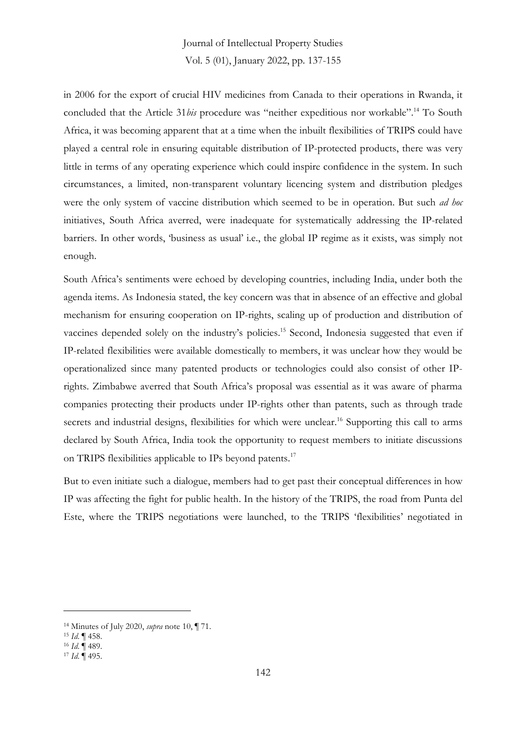in 2006 for the export of crucial HIV medicines from Canada to their operations in Rwanda, it concluded that the Article 31*bis* procedure was "neither expeditious nor workable".<sup>14</sup> To South Africa, it was becoming apparent that at a time when the inbuilt flexibilities of TRIPS could have played a central role in ensuring equitable distribution of IP-protected products, there was very little in terms of any operating experience which could inspire confidence in the system. In such circumstances, a limited, non-transparent voluntary licencing system and distribution pledges were the only system of vaccine distribution which seemed to be in operation. But such *ad hoc* initiatives, South Africa averred, were inadequate for systematically addressing the IP-related barriers. In other words, 'business as usual' i.e., the global IP regime as it exists, was simply not enough.

South Africa's sentiments were echoed by developing countries, including India, under both the agenda items. As Indonesia stated, the key concern was that in absence of an effective and global mechanism for ensuring cooperation on IP-rights, scaling up of production and distribution of vaccines depended solely on the industry's policies.<sup>15</sup> Second, Indonesia suggested that even if IP-related flexibilities were available domestically to members, it was unclear how they would be operationalized since many patented products or technologies could also consist of other IPrights. Zimbabwe averred that South Africa's proposal was essential as it was aware of pharma companies protecting their products under IP-rights other than patents, such as through trade secrets and industrial designs, flexibilities for which were unclear.<sup>16</sup> Supporting this call to arms declared by South Africa, India took the opportunity to request members to initiate discussions on TRIPS flexibilities applicable to IPs beyond patents.<sup>17</sup>

But to even initiate such a dialogue, members had to get past their conceptual differences in how IP was affecting the fight for public health. In the history of the TRIPS, the road from Punta del Este, where the TRIPS negotiations were launched, to the TRIPS 'flexibilities' negotiated in

<sup>14</sup> Minutes of July 2020, *supra* note 10, ¶ 71.

<sup>15</sup> *Id*. ¶ 458.

<sup>16</sup> *Id*. ¶ 489.

<sup>17</sup> *Id*. ¶ 495.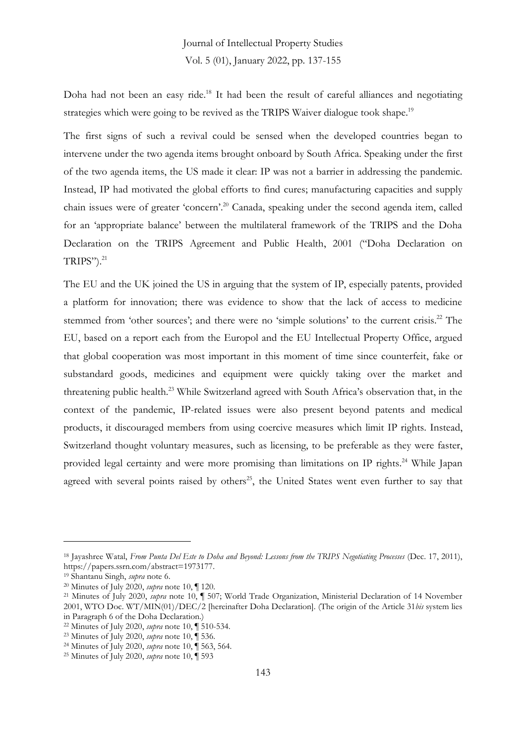Doha had not been an easy ride.<sup>18</sup> It had been the result of careful alliances and negotiating strategies which were going to be revived as the TRIPS Waiver dialogue took shape.<sup>19</sup>

The first signs of such a revival could be sensed when the developed countries began to intervene under the two agenda items brought onboard by South Africa. Speaking under the first of the two agenda items, the US made it clear: IP was not a barrier in addressing the pandemic. Instead, IP had motivated the global efforts to find cures; manufacturing capacities and supply chain issues were of greater 'concern'. <sup>20</sup> Canada, speaking under the second agenda item, called for an 'appropriate balance' between the multilateral framework of the TRIPS and the Doha Declaration on the TRIPS Agreement and Public Health, 2001 ("Doha Declaration on TRIPS"). 21

The EU and the UK joined the US in arguing that the system of IP, especially patents, provided a platform for innovation; there was evidence to show that the lack of access to medicine stemmed from 'other sources'; and there were no 'simple solutions' to the current crisis.<sup>22</sup> The EU, based on a report each from the Europol and the EU Intellectual Property Office, argued that global cooperation was most important in this moment of time since counterfeit, fake or substandard goods, medicines and equipment were quickly taking over the market and threatening public health.<sup>23</sup> While Switzerland agreed with South Africa's observation that, in the context of the pandemic, IP-related issues were also present beyond patents and medical products, it discouraged members from using coercive measures which limit IP rights. Instead, Switzerland thought voluntary measures, such as licensing, to be preferable as they were faster, provided legal certainty and were more promising than limitations on IP rights.<sup>24</sup> While Japan agreed with several points raised by others<sup>25</sup>, the United States went even further to say that

<sup>18</sup> Jayashree Watal, *From Punta Del Este to Doha and Beyond: Lessons from the TRIPS Negotiating Processes* (Dec. 17, 2011), https://papers.ssrn.com/abstract=1973177.

<sup>19</sup> Shantanu Singh, *supra* note 6.

<sup>20</sup> Minutes of July 2020, *supra* note 10, ¶ 120.

<sup>21</sup> Minutes of July 2020, *supra* note 10, ¶ 507; World Trade Organization, Ministerial Declaration of 14 November 2001, WTO Doc. WT/MIN(01)/DEC/2 [hereinafter Doha Declaration]. (The origin of the Article 31*bis* system lies in Paragraph 6 of the Doha Declaration.)

<sup>22</sup> Minutes of July 2020, *supra* note 10, ¶ 510-534.

<sup>23</sup> Minutes of July 2020, *supra* note 10, ¶ 536.

<sup>24</sup> Minutes of July 2020, *supra* note 10, ¶ 563, 564.

<sup>25</sup> Minutes of July 2020, *supra* note 10, ¶ 593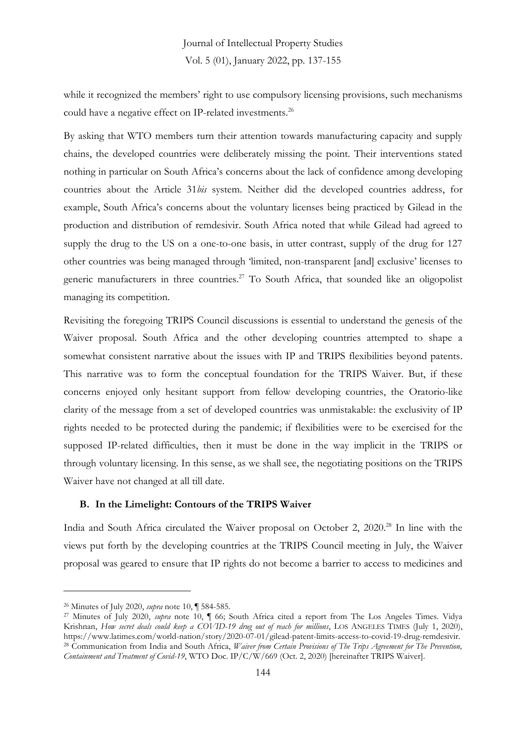while it recognized the members' right to use compulsory licensing provisions, such mechanisms could have a negative effect on IP-related investments. 26

By asking that WTO members turn their attention towards manufacturing capacity and supply chains, the developed countries were deliberately missing the point. Their interventions stated nothing in particular on South Africa's concerns about the lack of confidence among developing countries about the Article 31*bis* system. Neither did the developed countries address, for example, South Africa's concerns about the voluntary licenses being practiced by Gilead in the production and distribution of remdesivir. South Africa noted that while Gilead had agreed to supply the drug to the US on a one-to-one basis, in utter contrast, supply of the drug for 127 other countries was being managed through 'limited, non-transparent [and] exclusive' licenses to generic manufacturers in three countries.<sup>27</sup> To South Africa, that sounded like an oligopolist managing its competition.

Revisiting the foregoing TRIPS Council discussions is essential to understand the genesis of the Waiver proposal. South Africa and the other developing countries attempted to shape a somewhat consistent narrative about the issues with IP and TRIPS flexibilities beyond patents. This narrative was to form the conceptual foundation for the TRIPS Waiver. But, if these concerns enjoyed only hesitant support from fellow developing countries, the Oratorio-like clarity of the message from a set of developed countries was unmistakable: the exclusivity of IP rights needed to be protected during the pandemic; if flexibilities were to be exercised for the supposed IP-related difficulties, then it must be done in the way implicit in the TRIPS or through voluntary licensing. In this sense, as we shall see, the negotiating positions on the TRIPS Waiver have not changed at all till date.

#### **B. In the Limelight: Contours of the TRIPS Waiver**

India and South Africa circulated the Waiver proposal on October 2, 2020.<sup>28</sup> In line with the views put forth by the developing countries at the TRIPS Council meeting in July, the Waiver proposal was geared to ensure that IP rights do not become a barrier to access to medicines and

<sup>26</sup> Minutes of July 2020, *supra* note 10, ¶ 584-585.

<sup>27</sup> Minutes of July 2020, *supra* note 10, ¶ 66; South Africa cited a report from The Los Angeles Times. Vidya Krishnan, *How secret deals could keep a COVID-19 drug out of reach for millions*, LOS ANGELES TIMES (July 1, 2020), https://www.latimes.com/world-nation/story/2020-07-01/gilead-patent-limits-access-to-covid-19-drug-remdesivir. <sup>28</sup> Communication from India and South Africa, *Waiver from Certain Provisions of The Trips Agreement for The Prevention, Containment and Treatment of Covid-19*, WTO Doc. IP/C/W/669 (Oct. 2, 2020) [hereinafter TRIPS Waiver].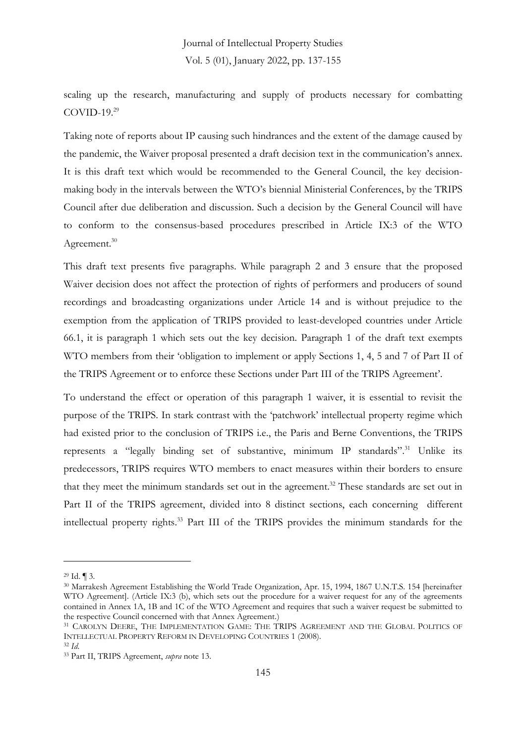scaling up the research, manufacturing and supply of products necessary for combatting  $COVID-19.<sup>29</sup>$ 

Taking note of reports about IP causing such hindrances and the extent of the damage caused by the pandemic, the Waiver proposal presented a draft decision text in the communication's annex. It is this draft text which would be recommended to the General Council, the key decisionmaking body in the intervals between the WTO's biennial Ministerial Conferences, by the TRIPS Council after due deliberation and discussion. Such a decision by the General Council will have to conform to the consensus-based procedures prescribed in Article IX:3 of the WTO Agreement.<sup>30</sup>

This draft text presents five paragraphs. While paragraph 2 and 3 ensure that the proposed Waiver decision does not affect the protection of rights of performers and producers of sound recordings and broadcasting organizations under Article 14 and is without prejudice to the exemption from the application of TRIPS provided to least-developed countries under Article 66.1, it is paragraph 1 which sets out the key decision. Paragraph 1 of the draft text exempts WTO members from their 'obligation to implement or apply Sections 1, 4, 5 and 7 of Part II of the TRIPS Agreement or to enforce these Sections under Part III of the TRIPS Agreement'.

To understand the effect or operation of this paragraph 1 waiver, it is essential to revisit the purpose of the TRIPS. In stark contrast with the 'patchwork' intellectual property regime which had existed prior to the conclusion of TRIPS i.e., the Paris and Berne Conventions, the TRIPS represents a "legally binding set of substantive, minimum IP standards".<sup>31</sup> Unlike its predecessors, TRIPS requires WTO members to enact measures within their borders to ensure that they meet the minimum standards set out in the agreement. <sup>32</sup> These standards are set out in Part II of the TRIPS agreement, divided into 8 distinct sections, each concerning different intellectual property rights.<sup>33</sup> Part III of the TRIPS provides the minimum standards for the

<sup>29</sup> Id. ¶ 3.

<sup>30</sup> Marrakesh Agreement Establishing the World Trade Organization, Apr. 15, 1994, 1867 U.N.T.S. 154 [hereinafter WTO Agreement]. (Article IX:3 (b), which sets out the procedure for a waiver request for any of the agreements contained in Annex 1A, 1B and 1C of the WTO Agreement and requires that such a waiver request be submitted to the respective Council concerned with that Annex Agreement.)

<sup>&</sup>lt;sup>31</sup> CAROLYN DEERE, THE IMPLEMENTATION GAME: THE TRIPS AGREEMENT AND THE GLOBAL POLITICS OF INTELLECTUAL PROPERTY REFORM IN DEVELOPING COUNTRIES 1 (2008).

<sup>32</sup> *Id*.

<sup>33</sup> Part II, TRIPS Agreement, *supra* note 13.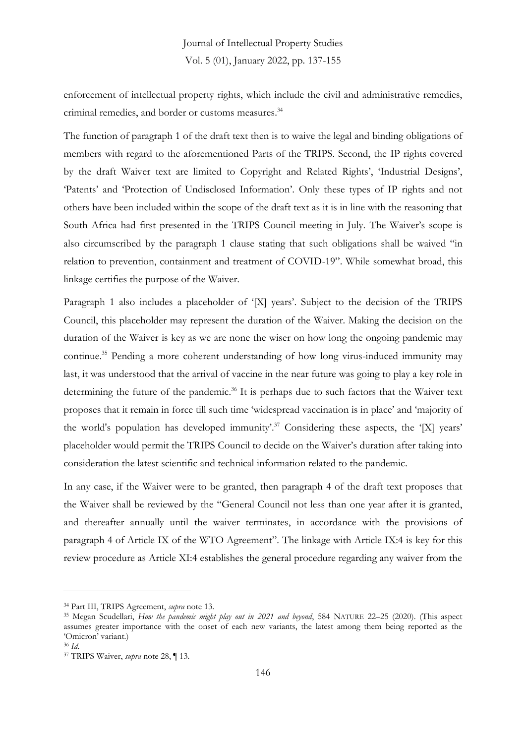enforcement of intellectual property rights, which include the civil and administrative remedies, criminal remedies, and border or customs measures.<sup>34</sup>

The function of paragraph 1 of the draft text then is to waive the legal and binding obligations of members with regard to the aforementioned Parts of the TRIPS. Second, the IP rights covered by the draft Waiver text are limited to Copyright and Related Rights', 'Industrial Designs', 'Patents' and 'Protection of Undisclosed Information'. Only these types of IP rights and not others have been included within the scope of the draft text as it is in line with the reasoning that South Africa had first presented in the TRIPS Council meeting in July. The Waiver's scope is also circumscribed by the paragraph 1 clause stating that such obligations shall be waived "in relation to prevention, containment and treatment of COVID-19". While somewhat broad, this linkage certifies the purpose of the Waiver.

Paragraph 1 also includes a placeholder of '[X] years'. Subject to the decision of the TRIPS Council, this placeholder may represent the duration of the Waiver. Making the decision on the duration of the Waiver is key as we are none the wiser on how long the ongoing pandemic may continue.<sup>35</sup> Pending a more coherent understanding of how long virus-induced immunity may last, it was understood that the arrival of vaccine in the near future was going to play a key role in determining the future of the pandemic.<sup>36</sup> It is perhaps due to such factors that the Waiver text proposes that it remain in force till such time 'widespread vaccination is in place' and 'majority of the world's population has developed immunity'.<sup>37</sup> Considering these aspects, the '[X] years' placeholder would permit the TRIPS Council to decide on the Waiver's duration after taking into consideration the latest scientific and technical information related to the pandemic.

In any case, if the Waiver were to be granted, then paragraph 4 of the draft text proposes that the Waiver shall be reviewed by the "General Council not less than one year after it is granted, and thereafter annually until the waiver terminates, in accordance with the provisions of paragraph 4 of Article IX of the WTO Agreement". The linkage with Article IX:4 is key for this review procedure as Article XI:4 establishes the general procedure regarding any waiver from the

<sup>34</sup> Part III, TRIPS Agreement, *supra* note 13.

<sup>35</sup> Megan Scudellari, *How the pandemic might play out in 2021 and beyond*, 584 NATURE 22–25 (2020). (This aspect assumes greater importance with the onset of each new variants, the latest among them being reported as the 'Omicron' variant.)

<sup>36</sup> *Id*.

<sup>37</sup> TRIPS Waiver, *supra* note 28, ¶ 13.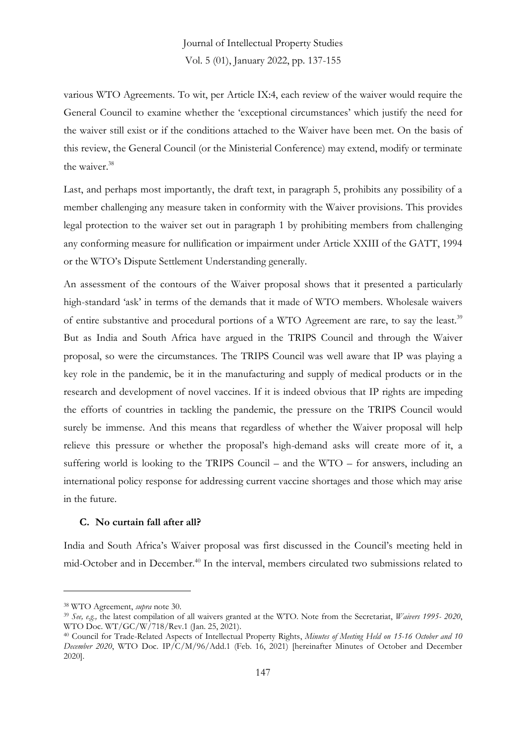various WTO Agreements. To wit, per Article IX:4, each review of the waiver would require the General Council to examine whether the 'exceptional circumstances' which justify the need for the waiver still exist or if the conditions attached to the Waiver have been met. On the basis of this review, the General Council (or the Ministerial Conference) may extend, modify or terminate the waiver.<sup>38</sup>

Last, and perhaps most importantly, the draft text, in paragraph 5, prohibits any possibility of a member challenging any measure taken in conformity with the Waiver provisions. This provides legal protection to the waiver set out in paragraph 1 by prohibiting members from challenging any conforming measure for nullification or impairment under Article XXIII of the GATT, 1994 or the WTO's Dispute Settlement Understanding generally.

An assessment of the contours of the Waiver proposal shows that it presented a particularly high-standard 'ask' in terms of the demands that it made of WTO members. Wholesale waivers of entire substantive and procedural portions of a WTO Agreement are rare, to say the least.<sup>39</sup> But as India and South Africa have argued in the TRIPS Council and through the Waiver proposal, so were the circumstances. The TRIPS Council was well aware that IP was playing a key role in the pandemic, be it in the manufacturing and supply of medical products or in the research and development of novel vaccines. If it is indeed obvious that IP rights are impeding the efforts of countries in tackling the pandemic, the pressure on the TRIPS Council would surely be immense. And this means that regardless of whether the Waiver proposal will help relieve this pressure or whether the proposal's high-demand asks will create more of it, a suffering world is looking to the TRIPS Council – and the WTO – for answers, including an international policy response for addressing current vaccine shortages and those which may arise in the future.

#### **C. No curtain fall after all?**

India and South Africa's Waiver proposal was first discussed in the Council's meeting held in mid-October and in December.<sup>40</sup> In the interval, members circulated two submissions related to

<sup>38</sup> WTO Agreement, *supra* note 30.

<sup>39</sup> *See, e.g.,* the latest compilation of all waivers granted at the WTO. Note from the Secretariat, *Waivers 1995- 2020*, WTO Doc. WT/GC/W/718/Rev.1 (Jan. 25, 2021).

<sup>40</sup> Council for Trade-Related Aspects of Intellectual Property Rights, *Minutes of Meeting Held on 15-16 October and 10 December 2020*, WTO Doc. IP/C/M/96/Add.1 (Feb. 16, 2021) [hereinafter Minutes of October and December 2020].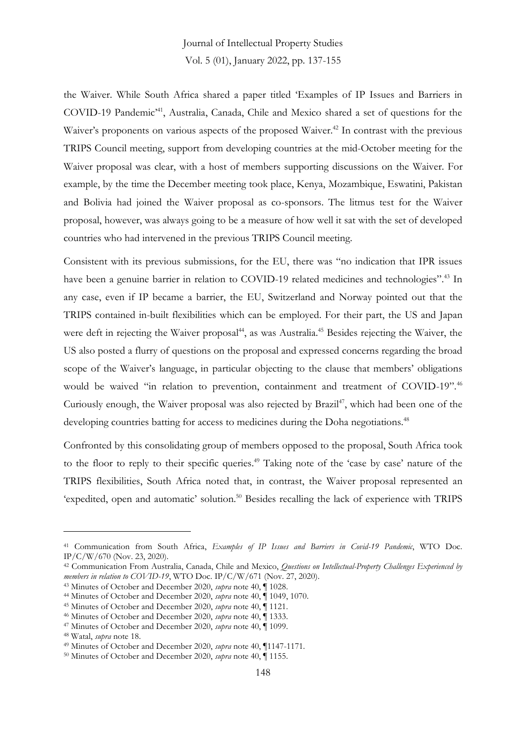the Waiver. While South Africa shared a paper titled 'Examples of IP Issues and Barriers in COVID-19 Pandemic'<sup>41</sup> , Australia, Canada, Chile and Mexico shared a set of questions for the Waiver's proponents on various aspects of the proposed Waiver.<sup>42</sup> In contrast with the previous TRIPS Council meeting, support from developing countries at the mid-October meeting for the Waiver proposal was clear, with a host of members supporting discussions on the Waiver. For example, by the time the December meeting took place, Kenya, Mozambique, Eswatini, Pakistan and Bolivia had joined the Waiver proposal as co-sponsors. The litmus test for the Waiver proposal, however, was always going to be a measure of how well it sat with the set of developed countries who had intervened in the previous TRIPS Council meeting.

Consistent with its previous submissions, for the EU, there was "no indication that IPR issues have been a genuine barrier in relation to COVID-19 related medicines and technologies".<sup>43</sup> In any case, even if IP became a barrier, the EU, Switzerland and Norway pointed out that the TRIPS contained in-built flexibilities which can be employed. For their part, the US and Japan were deft in rejecting the Waiver proposal<sup>44</sup>, as was Australia.<sup>45</sup> Besides rejecting the Waiver, the US also posted a flurry of questions on the proposal and expressed concerns regarding the broad scope of the Waiver's language, in particular objecting to the clause that members' obligations would be waived "in relation to prevention, containment and treatment of COVID-19".<sup>46</sup> Curiously enough, the Waiver proposal was also rejected by Brazil<sup>47</sup>, which had been one of the developing countries batting for access to medicines during the Doha negotiations.<sup>48</sup>

Confronted by this consolidating group of members opposed to the proposal, South Africa took to the floor to reply to their specific queries.<sup>49</sup> Taking note of the 'case by case' nature of the TRIPS flexibilities, South Africa noted that, in contrast, the Waiver proposal represented an 'expedited, open and automatic' solution.<sup>50</sup> Besides recalling the lack of experience with TRIPS

<sup>41</sup> Communication from South Africa, *Examples of IP Issues and Barriers in Covid-19 Pandemic*, WTO Doc. IP/C/W/670 (Nov. 23, 2020).

<sup>42</sup> Communication From Australia, Canada, Chile and Mexico, *Questions on Intellectual-Property Challenges Experienced by members in relation to COVID-19*, WTO Doc. IP/C/W/671 (Nov. 27, 2020).

<sup>43</sup> Minutes of October and December 2020, *supra* note 40, ¶ 1028.

<sup>44</sup> Minutes of October and December 2020, *supra* note 40, ¶ 1049, 1070.

<sup>45</sup> Minutes of October and December 2020, *supra* note 40, ¶ 1121.

<sup>46</sup> Minutes of October and December 2020, *supra* note 40, ¶ 1333.

<sup>47</sup> Minutes of October and December 2020, *supra* note 40, ¶ 1099.

<sup>48</sup> Watal, *supra* note 18.

<sup>49</sup> Minutes of October and December 2020, *supra* note 40, ¶1147-1171.

<sup>50</sup> Minutes of October and December 2020, *supra* note 40, ¶ 1155.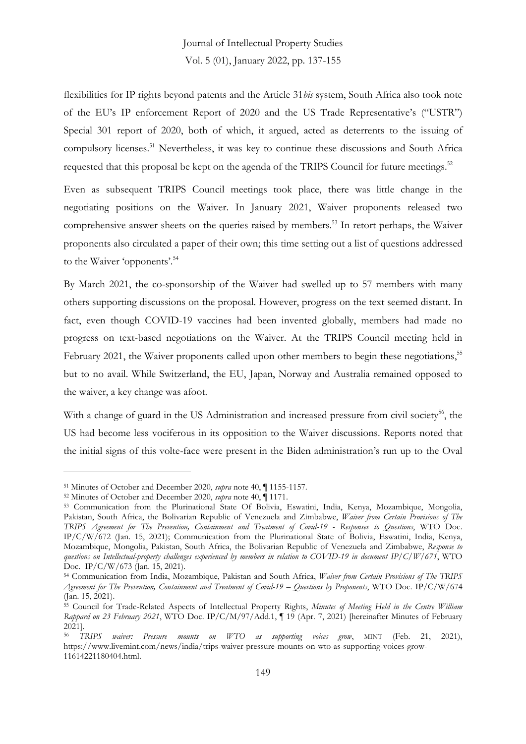flexibilities for IP rights beyond patents and the Article 31*bis* system, South Africa also took note of the EU's IP enforcement Report of 2020 and the US Trade Representative's ("USTR") Special 301 report of 2020, both of which, it argued, acted as deterrents to the issuing of compulsory licenses. <sup>51</sup> Nevertheless, it was key to continue these discussions and South Africa requested that this proposal be kept on the agenda of the TRIPS Council for future meetings.<sup>52</sup>

Even as subsequent TRIPS Council meetings took place, there was little change in the negotiating positions on the Waiver. In January 2021, Waiver proponents released two comprehensive answer sheets on the queries raised by members.<sup>53</sup> In retort perhaps, the Waiver proponents also circulated a paper of their own; this time setting out a list of questions addressed to the Waiver 'opponents'. 54

By March 2021, the co-sponsorship of the Waiver had swelled up to 57 members with many others supporting discussions on the proposal. However, progress on the text seemed distant. In fact, even though COVID-19 vaccines had been invented globally, members had made no progress on text-based negotiations on the Waiver. At the TRIPS Council meeting held in February 2021, the Waiver proponents called upon other members to begin these negotiations,<sup>55</sup> but to no avail. While Switzerland, the EU, Japan, Norway and Australia remained opposed to the waiver, a key change was afoot.

With a change of guard in the US Administration and increased pressure from civil society<sup>56</sup>, the US had become less vociferous in its opposition to the Waiver discussions. Reports noted that the initial signs of this volte-face were present in the Biden administration's run up to the Oval

<sup>51</sup> Minutes of October and December 2020, *supra* note 40, ¶ 1155-1157.

<sup>52</sup> Minutes of October and December 2020, *supra* note 40, ¶ 1171.

<sup>53</sup> Communication from the Plurinational State Of Bolivia, Eswatini, India, Kenya, Mozambique, Mongolia, Pakistan, South Africa, the Bolivarian Republic of Venezuela and Zimbabwe, *Waiver from Certain Provisions of The TRIPS Agreement for The Prevention, Containment and Treatment of Covid-19 - Responses to Questions*, WTO Doc. IP/C/W/672 (Jan. 15, 2021); Communication from the Plurinational State of Bolivia, Eswatini, India, Kenya, Mozambique, Mongolia, Pakistan, South Africa, the Bolivarian Republic of Venezuela and Zimbabwe, *Response to questions on Intellectual-property challenges experienced by members in relation to COVID-19 in document IP/C/W/671*, WTO Doc. IP/C/W/673 (Jan. 15, 2021).

<sup>54</sup> Communication from India, Mozambique, Pakistan and South Africa, *Waiver from Certain Provisions of The TRIPS Agreement for The Prevention, Containment and Treatment of Covid-19 – Questions by Proponents*, WTO Doc. IP/C/W/674 (Jan. 15, 2021).

<sup>55</sup> Council for Trade-Related Aspects of Intellectual Property Rights, *Minutes of Meeting Held in the Centre William Rappard on 23 February 2021*, WTO Doc. IP/C/M/97/Add.1, ¶ 19 (Apr. 7, 2021) [hereinafter Minutes of February 2021].

<sup>56</sup> *TRIPS waiver: Pressure mounts on WTO as supporting voices grow*, MINT (Feb. 21, 2021), https://www.livemint.com/news/india/trips-waiver-pressure-mounts-on-wto-as-supporting-voices-grow-11614221180404.html.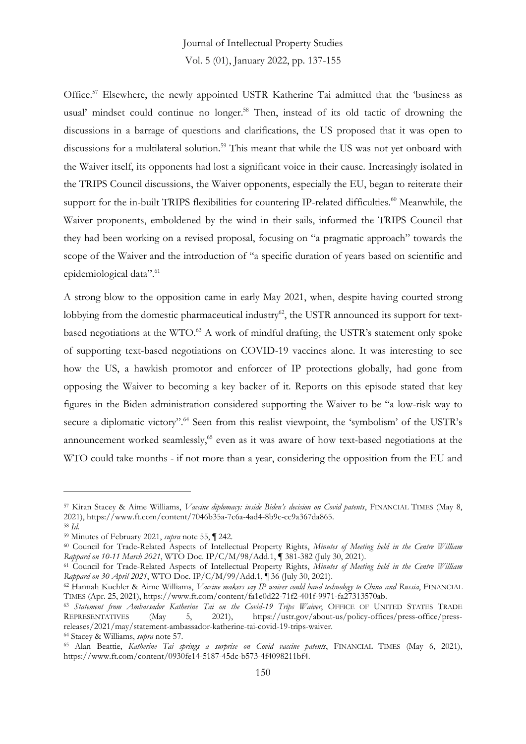Office. <sup>57</sup> Elsewhere, the newly appointed USTR Katherine Tai admitted that the 'business as usual' mindset could continue no longer. <sup>58</sup> Then, instead of its old tactic of drowning the discussions in a barrage of questions and clarifications, the US proposed that it was open to discussions for a multilateral solution. <sup>59</sup> This meant that while the US was not yet onboard with the Waiver itself, its opponents had lost a significant voice in their cause. Increasingly isolated in the TRIPS Council discussions, the Waiver opponents, especially the EU, began to reiterate their support for the in-built TRIPS flexibilities for countering IP-related difficulties.<sup>60</sup> Meanwhile, the Waiver proponents, emboldened by the wind in their sails, informed the TRIPS Council that they had been working on a revised proposal, focusing on "a pragmatic approach" towards the scope of the Waiver and the introduction of "a specific duration of years based on scientific and epidemiological data".<sup>61</sup>

A strong blow to the opposition came in early May 2021, when, despite having courted strong lobbying from the domestic pharmaceutical industry<sup>62</sup>, the USTR announced its support for textbased negotiations at the WTO.<sup>63</sup> A work of mindful drafting, the USTR's statement only spoke of supporting text-based negotiations on COVID-19 vaccines alone. It was interesting to see how the US, a hawkish promotor and enforcer of IP protections globally, had gone from opposing the Waiver to becoming a key backer of it. Reports on this episode stated that key figures in the Biden administration considered supporting the Waiver to be "a low-risk way to secure a diplomatic victory".<sup>64</sup> Seen from this realist viewpoint, the 'symbolism' of the USTR's announcement worked seamlessly, <sup>65</sup> even as it was aware of how text-based negotiations at the WTO could take months - if not more than a year, considering the opposition from the EU and

<sup>57</sup> Kiran Stacey & Aime Williams, *Vaccine diplomacy: inside Biden's decision on Covid patents*, FINANCIAL TIMES (May 8, 2021), https://www.ft.com/content/7046b35a-7c6a-4ad4-8b9c-cc9a367da865. <sup>58</sup> *Id*.

<sup>59</sup> Minutes of February 2021, *supra* note 55, ¶ 242.

<sup>60</sup> Council for Trade-Related Aspects of Intellectual Property Rights, *Minutes of Meeting held in the Centre William Rappard on 10-11 March 2021*, WTO Doc. IP/C/M/98/Add.1, **¶** 381-382 (July 30, 2021).

<sup>61</sup> Council for Trade-Related Aspects of Intellectual Property Rights, *Minutes of Meeting held in the Centre William Rappard on 30 April 2021*, WTO Doc. IP/C/M/99/Add.1, ¶ 36 (July 30, 2021).

<sup>62</sup> Hannah Kuchler & Aime Williams, *Vaccine makers say IP waiver could hand technology to China and Russia*, FINANCIAL TIMES (Apr. 25, 2021), https://www.ft.com/content/fa1e0d22-71f2-401f-9971-fa27313570ab.

<sup>&</sup>lt;sup>63</sup> *Statement from Ambassador Katherine Tai on the Covid-19 Trips Waiver*, OFFICE OF UNITED STATES TRADE<br>REPRESENTATIVES (May 5, 2021), https://ustr.gov/about-us/policy-offices/press-office/press- $May$  5, 2021), https://ustr.gov/about-us/policy-offices/press-office/pressreleases/2021/may/statement-ambassador-katherine-tai-covid-19-trips-waiver.

<sup>64</sup> Stacey & Williams, *supra* note 57.

<sup>65</sup> Alan Beattie, *Katherine Tai springs a surprise on Covid vaccine patents*, FINANCIAL TIMES (May 6, 2021), https://www.ft.com/content/0930fe14-5187-45dc-b573-4f4098211bf4.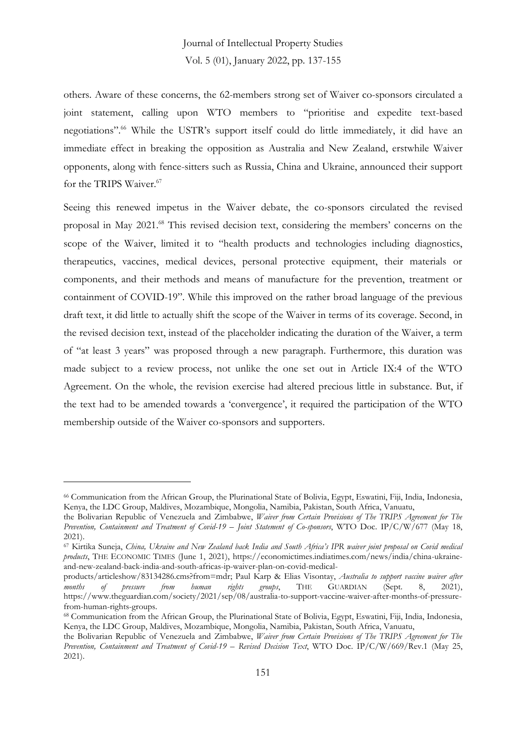others. Aware of these concerns, the 62-members strong set of Waiver co-sponsors circulated a joint statement, calling upon WTO members to "prioritise and expedite text-based negotiations". <sup>66</sup> While the USTR's support itself could do little immediately, it did have an immediate effect in breaking the opposition as Australia and New Zealand, erstwhile Waiver opponents, along with fence-sitters such as Russia, China and Ukraine, announced their support for the TRIPS Waiver.<sup>67</sup>

Seeing this renewed impetus in the Waiver debate, the co-sponsors circulated the revised proposal in May 2021.<sup>68</sup> This revised decision text, considering the members' concerns on the scope of the Waiver, limited it to "health products and technologies including diagnostics, therapeutics, vaccines, medical devices, personal protective equipment, their materials or components, and their methods and means of manufacture for the prevention, treatment or containment of COVID-19". While this improved on the rather broad language of the previous draft text, it did little to actually shift the scope of the Waiver in terms of its coverage. Second, in the revised decision text, instead of the placeholder indicating the duration of the Waiver, a term of "at least 3 years" was proposed through a new paragraph. Furthermore, this duration was made subject to a review process, not unlike the one set out in Article IX:4 of the WTO Agreement. On the whole, the revision exercise had altered precious little in substance. But, if the text had to be amended towards a 'convergence', it required the participation of the WTO membership outside of the Waiver co-sponsors and supporters.

<sup>66</sup> Communication from the African Group, the Plurinational State of Bolivia, Egypt, Eswatini, Fiji, India, Indonesia, Kenya, the LDC Group, Maldives, Mozambique, Mongolia, Namibia, Pakistan, South Africa, Vanuatu,

the Bolivarian Republic of Venezuela and Zimbabwe, *Waiver from Certain Provisions of The TRIPS Agreement for The Prevention, Containment and Treatment of Covid-19 – Joint Statement of Co-sponsors*, WTO Doc. IP/C/W/677 (May 18, 2021).

<sup>67</sup> Kirtika Suneja, *China, Ukraine and New Zealand back India and South Africa's IPR waiver joint proposal on Covid medical products*, THE ECONOMIC TIMES (June 1, 2021), https://economictimes.indiatimes.com/news/india/china-ukraineand-new-zealand-back-india-and-south-africas-ip-waiver-plan-on-covid-medical-

products/articleshow/83134286.cms?from=mdr; Paul Karp & Elias Visontay, *Australia to support vaccine waiver after months* of *pressure from buman rights groups*, THE GUARDIAN (Sept. 8, 2021), *months of pressure from human rights groups*, THE GUARDIAN (Sept. 8, 2021), https://www.theguardian.com/society/2021/sep/08/australia-to-support-vaccine-waiver-after-months-of-pressurefrom-human-rights-groups.

<sup>68</sup> Communication from the African Group, the Plurinational State of Bolivia, Egypt, Eswatini, Fiji, India, Indonesia, Kenya, the LDC Group, Maldives, Mozambique, Mongolia, Namibia, Pakistan, South Africa, Vanuatu,

the Bolivarian Republic of Venezuela and Zimbabwe, *Waiver from Certain Provisions of The TRIPS Agreement for The Prevention, Containment and Treatment of Covid-19 – Revised Decision Text*, WTO Doc. IP/C/W/669/Rev.1 (May 25, 2021).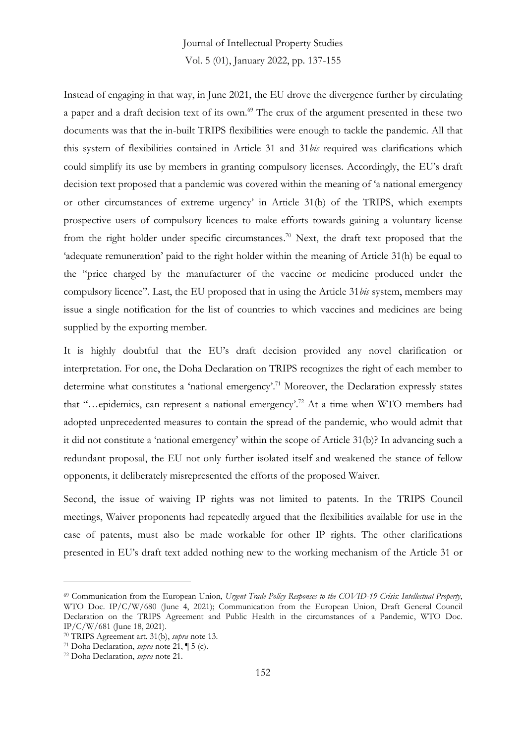Instead of engaging in that way, in June 2021, the EU drove the divergence further by circulating a paper and a draft decision text of its own. <sup>69</sup> The crux of the argument presented in these two documents was that the in-built TRIPS flexibilities were enough to tackle the pandemic. All that this system of flexibilities contained in Article 31 and 31*bis* required was clarifications which could simplify its use by members in granting compulsory licenses. Accordingly, the EU's draft decision text proposed that a pandemic was covered within the meaning of 'a national emergency or other circumstances of extreme urgency' in Article 31(b) of the TRIPS, which exempts prospective users of compulsory licences to make efforts towards gaining a voluntary license from the right holder under specific circumstances. <sup>70</sup> Next, the draft text proposed that the 'adequate remuneration' paid to the right holder within the meaning of Article 31(h) be equal to the "price charged by the manufacturer of the vaccine or medicine produced under the compulsory licence". Last, the EU proposed that in using the Article 31*bis* system, members may issue a single notification for the list of countries to which vaccines and medicines are being supplied by the exporting member.

It is highly doubtful that the EU's draft decision provided any novel clarification or interpretation. For one, the Doha Declaration on TRIPS recognizes the right of each member to determine what constitutes a 'national emergency'.<sup>71</sup> Moreover, the Declaration expressly states that "…epidemics, can represent a national emergency'.<sup>72</sup> At a time when WTO members had adopted unprecedented measures to contain the spread of the pandemic, who would admit that it did not constitute a 'national emergency' within the scope of Article 31(b)? In advancing such a redundant proposal, the EU not only further isolated itself and weakened the stance of fellow opponents, it deliberately misrepresented the efforts of the proposed Waiver.

Second, the issue of waiving IP rights was not limited to patents. In the TRIPS Council meetings, Waiver proponents had repeatedly argued that the flexibilities available for use in the case of patents, must also be made workable for other IP rights. The other clarifications presented in EU's draft text added nothing new to the working mechanism of the Article 31 or

<sup>69</sup> Communication from the European Union, *Urgent Trade Policy Responses to the COVID-19 Crisis: Intellectual Property*, WTO Doc. IP/C/W/680 (June 4, 2021); Communication from the European Union, Draft General Council Declaration on the TRIPS Agreement and Public Health in the circumstances of a Pandemic, WTO Doc. IP/C/W/681 (June 18, 2021).

<sup>70</sup> TRIPS Agreement art. 31(b), *supra* note 13.

<sup>71</sup> Doha Declaration, *supra* note 21, ¶ 5 (c).

<sup>72</sup> Doha Declaration, *supra* note 21.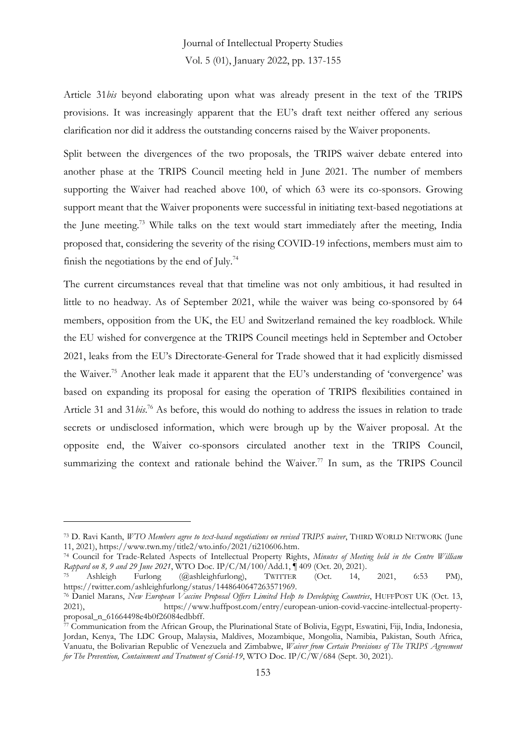Article 31*bis* beyond elaborating upon what was already present in the text of the TRIPS provisions. It was increasingly apparent that the EU's draft text neither offered any serious clarification nor did it address the outstanding concerns raised by the Waiver proponents.

Split between the divergences of the two proposals, the TRIPS waiver debate entered into another phase at the TRIPS Council meeting held in June 2021. The number of members supporting the Waiver had reached above 100, of which 63 were its co-sponsors. Growing support meant that the Waiver proponents were successful in initiating text-based negotiations at the June meeting. <sup>73</sup> While talks on the text would start immediately after the meeting, India proposed that, considering the severity of the rising COVID-19 infections, members must aim to finish the negotiations by the end of July.<sup>74</sup>

The current circumstances reveal that that timeline was not only ambitious, it had resulted in little to no headway. As of September 2021, while the waiver was being co-sponsored by 64 members, opposition from the UK, the EU and Switzerland remained the key roadblock. While the EU wished for convergence at the TRIPS Council meetings held in September and October 2021, leaks from the EU's Directorate-General for Trade showed that it had explicitly dismissed the Waiver.<sup>75</sup> Another leak made it apparent that the EU's understanding of 'convergence' was based on expanding its proposal for easing the operation of TRIPS flexibilities contained in Article 31 and 31*bis*. <sup>76</sup> As before, this would do nothing to address the issues in relation to trade secrets or undisclosed information, which were brough up by the Waiver proposal. At the opposite end, the Waiver co-sponsors circulated another text in the TRIPS Council, summarizing the context and rationale behind the Waiver.<sup>77</sup> In sum, as the TRIPS Council

<sup>73</sup> D. Ravi Kanth, *WTO Members agree to text-based negotiations on revised TRIPS waiver*, THIRD WORLD NETWORK (June 11, 2021), https://www.twn.my/title2/wto.info/2021/ti210606.htm.

<sup>74</sup> Council for Trade-Related Aspects of Intellectual Property Rights, *Minutes of Meeting held in the Centre William Rappard on 8, 9 and 29 June 2021*, WTO Doc. IP/C/M/100/Add.1, ¶ 409 (Oct. 20, 2021).

<sup>75</sup> Ashleigh Furlong (@ashleighfurlong), TWITTER (Oct. 14, 2021, 6:53 PM), https://twitter.com/ashleighfurlong/status/1448640647263571969.

<sup>76</sup> Daniel Marans, *New European Vaccine Proposal Offers Limited Help to Developing Countries*, HUFFPOST UK (Oct. 13, 2021), https://www.huffpost.com/entry/european-union-covid-vaccine-intellectual-propertyproposal\_n\_61664498e4b0f26084edbbff.

 $\bar{7}$  Communication from the African Group, the Plurinational State of Bolivia, Egypt, Eswatini, Fiji, India, Indonesia, Jordan, Kenya, The LDC Group, Malaysia, Maldives, Mozambique, Mongolia, Namibia, Pakistan, South Africa, Vanuatu, the Bolivarian Republic of Venezuela and Zimbabwe, *Waiver from Certain Provisions of The TRIPS Agreement for The Prevention, Containment and Treatment of Covid-19*, WTO Doc. IP/C/W/684 (Sept. 30, 2021).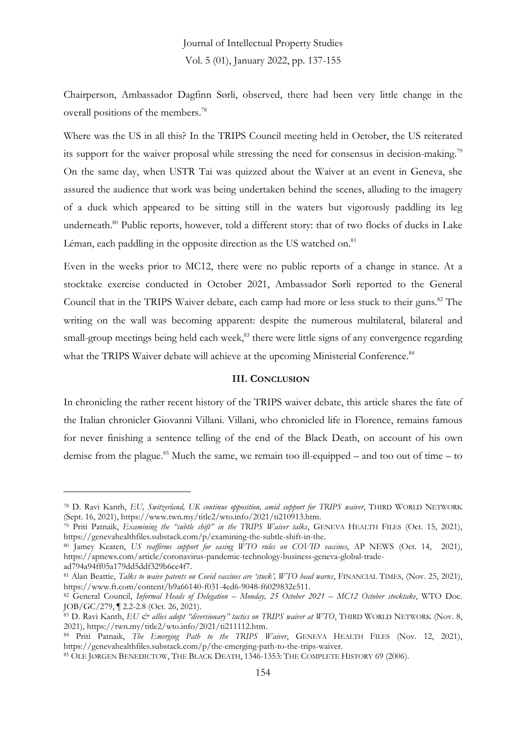Chairperson, Ambassador Dagfinn Sørli, observed, there had been very little change in the overall positions of the members. 78

Where was the US in all this? In the TRIPS Council meeting held in October, the US reiterated its support for the waiver proposal while stressing the need for consensus in decision-making.<sup>79</sup> On the same day, when USTR Tai was quizzed about the Waiver at an event in Geneva, she assured the audience that work was being undertaken behind the scenes, alluding to the imagery of a duck which appeared to be sitting still in the waters but vigorously paddling its leg underneath.<sup>80</sup> Public reports, however, told a different story: that of two flocks of ducks in Lake Léman, each paddling in the opposite direction as the US watched on.<sup>81</sup>

Even in the weeks prior to MC12, there were no public reports of a change in stance. At a stocktake exercise conducted in October 2021, Ambassador Sørli reported to the General Council that in the TRIPS Waiver debate, each camp had more or less stuck to their guns. <sup>82</sup> The writing on the wall was becoming apparent: despite the numerous multilateral, bilateral and small-group meetings being held each week, <sup>83</sup> there were little signs of any convergence regarding what the TRIPS Waiver debate will achieve at the upcoming Ministerial Conference.<sup>84</sup>

#### **III. CONCLUSION**

In chronicling the rather recent history of the TRIPS waiver debate, this article shares the fate of the Italian chronicler Giovanni Villani. Villani, who chronicled life in Florence, remains famous for never finishing a sentence telling of the end of the Black Death, on account of his own demise from the plague.<sup>85</sup> Much the same, we remain too ill-equipped – and too out of time – to

<sup>78</sup> D. Ravi Kanth, *EU, Switzerland, UK continue opposition, amid support for TRIPS waiver*, THIRD WORLD NETWORK (Sept. 16, 2021), https://www.twn.my/title2/wto.info/2021/ti210913.htm.

<sup>79</sup> Priti Patnaik, *Examining the "subtle shift" in the TRIPS Waiver talks*, GENEVA HEALTH FILES (Oct. 15, 2021), https://genevahealthfiles.substack.com/p/examining-the-subtle-shift-in-the.

<sup>80</sup> Jamey Keaten, *US reaffirms support for easing WTO rules on COVID vaccines*, AP NEWS (Oct. 14, 2021), https://apnews.com/article/coronavirus-pandemic-technology-business-geneva-global-tradead794a94ff05a179dd5ddf329b6ce4f7.

<sup>81</sup> Alan Beattie, *Talks to waive patents on Covid vaccines are 'stuck', WTO head warns*, FINANCIAL TIMES, (Nov. 25, 2021), https://www.ft.com/content/b9a66140-f031-4ed6-9048-f6029832c511.

<sup>82</sup> General Council, *Informal Heads of Delegation – Monday, 25 October 2021 – MC12 October stocktake*, WTO Doc. JOB/GC/279, ¶ 2.2-2.8 (Oct. 26, 2021).

<sup>83</sup> D. Ravi Kanth, *EU & allies adopt "diversionary" tactics on TRIPS waiver at WTO*, THIRD WORLD NETWORK (Nov. 8, 2021), https://twn.my/title2/wto.info/2021/ti211112.htm.

<sup>84</sup> Priti Patnaik, *The Emerging Path to the TRIPS Waiver*, GENEVA HEALTH FILES (Nov. 12, 2021), https://genevahealthfiles.substack.com/p/the-emerging-path-to-the-trips-waiver.

<sup>85</sup> OLE JØRGEN BENEDICTOW, THE BLACK DEATH, 1346-1353: THE COMPLETE HISTORY 69 (2006).